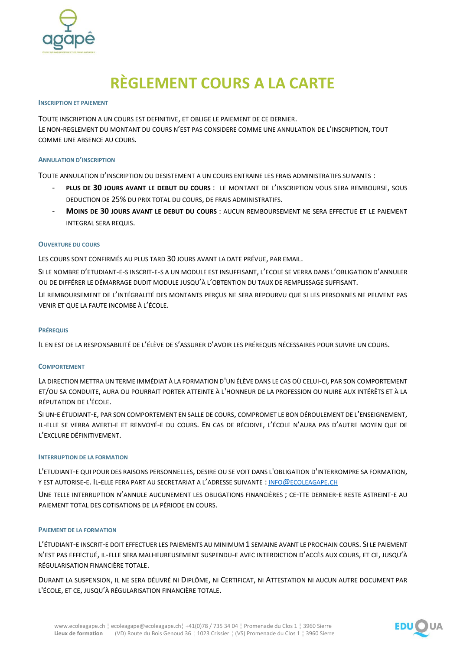

# **RÈGLEMENT COURS A LA CARTE**

## **INSCRIPTION ET PAIEMENT**

TOUTE INSCRIPTION A UN COURS EST DEFINITIVE, ET OBLIGE LE PAIEMENT DE CE DERNIER. LE NON-REGLEMENT DU MONTANT DU COURS N'EST PAS CONSIDERE COMME UNE ANNULATION DE L'INSCRIPTION, TOUT COMME UNE ABSENCE AU COURS.

## **ANNULATION D'INSCRIPTION**

TOUTE ANNULATION D'INSCRIPTION OU DESISTEMENT A UN COURS ENTRAINE LES FRAIS ADMINISTRATIFS SUIVANTS :

- **PLUS DE 30 JOURS AVANT LE DEBUT DU COURS** : LE MONTANT DE L'INSCRIPTION VOUS SERA REMBOURSE, SOUS DEDUCTION DE 25% DU PRIX TOTAL DU COURS, DE FRAIS ADMINISTRATIFS.
- **MOINS DE 30 JOURS AVANT LE DEBUT DU COURS** : AUCUN REMBOURSEMENT NE SERA EFFECTUE ET LE PAIEMENT INTEGRAL SERA REQUIS.

## **OUVERTURE DU COURS**

LES COURS SONT CONFIRMÉS AU PLUS TARD 30 JOURS AVANT LA DATE PRÉVUE, PAR EMAIL.

SI LE NOMBRE D'ETUDIANT-E-S INSCRIT-E-S A UN MODULE EST INSUFFISANT, L'ECOLE SE VERRA DANS L'OBLIGATION D'ANNULER OU DE DIFFÉRER LE DÉMARRAGE DUDIT MODULE JUSQU'À L'OBTENTION DU TAUX DE REMPLISSAGE SUFFISANT.

LE REMBOURSEMENT DE L'INTÉGRALITÉ DES MONTANTS PERÇUS NE SERA REPOURVU QUE SI LES PERSONNES NE PEUVENT PAS VENIR ET QUE LA FAUTE INCOMBE À L'ÉCOLE.

## **PRÉREQUIS**

IL EN EST DE LA RESPONSABILITÉ DE L'ÉLÈVE DE S'ASSURER D'AVOIR LES PRÉREQUIS NÉCESSAIRES POUR SUIVRE UN COURS.

## **COMPORTEMENT**

LA DIRECTION METTRA UN TERME IMMÉDIAT À LA FORMATION D'UN ÉLÈVE DANS LE CAS OÙ CELUI-CI, PAR SON COMPORTEMENT ET/OU SA CONDUITE, AURA OU POURRAIT PORTER ATTEINTE À L'HONNEUR DE LA PROFESSION OU NUIRE AUX INTÉRÊTS ET À LA RÉPUTATION DE L'ÉCOLE.

SI UN-E ÉTUDIANT-E, PAR SON COMPORTEMENT EN SALLE DE COURS, COMPROMET LE BON DÉROULEMENT DE L'ENSEIGNEMENT, IL-ELLE SE VERRA AVERTI-E ET RENVOYÉ-E DU COURS. EN CAS DE RÉCIDIVE, L'ÉCOLE N'AURA PAS D'AUTRE MOYEN QUE DE L'EXCLURE DÉFINITIVEMENT.

## **INTERRUPTION DE LA FORMATION**

L'ETUDIANT-E QUI POUR DES RAISONS PERSONNELLES, DESIRE OU SE VOIT DANS L'OBLIGATION D'INTERROMPRE SA FORMATION, Y EST AUTORISE-E. IL-ELLE FERA PART AU SECRETARIAT A L'ADRESSE SUIVANTE : INFO@[ECOLEAGAPE](mailto:info@ecoleagape.ch).CH

UNE TELLE INTERRUPTION N'ANNULE AUCUNEMENT LES OBLIGATIONS FINANCIÈRES ; CE-TTE DERNIER-E RESTE ASTREINT-E AU PAIEMENT TOTAL DES COTISATIONS DE LA PÉRIODE EN COURS.

## **PAIEMENT DE LA FORMATION**

L'ÉTUDIANT-E INSCRIT-E DOIT EFFECTUER LES PAIEMENTS AU MINIMUM 1 SEMAINE AVANT LE PROCHAIN COURS. SI LE PAIEMENT N'EST PAS EFFECTUÉ, IL-ELLE SERA MALHEUREUSEMENT SUSPENDU-E AVEC INTERDICTION D'ACCÈS AUX COURS, ET CE, JUSQU'À RÉGULARISATION FINANCIÈRE TOTALE.

DURANT LA SUSPENSION, IL NE SERA DÉLIVRÉ NI DIPLÔME, NI CERTIFICAT, NI ATTESTATION NI AUCUN AUTRE DOCUMENT PAR L'ÉCOLE, ET CE, JUSQU'À RÉGULARISATION FINANCIÈRE TOTALE.